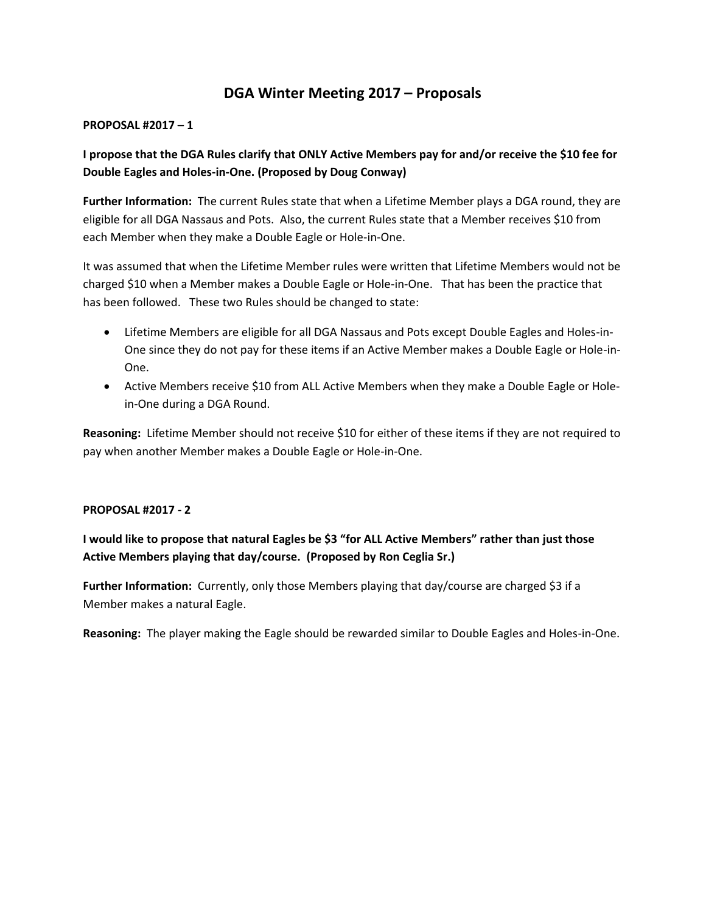# **DGA Winter Meeting 2017 – Proposals**

#### **PROPOSAL #2017 – 1**

## **I propose that the DGA Rules clarify that ONLY Active Members pay for and/or receive the \$10 fee for Double Eagles and Holes-in-One. (Proposed by Doug Conway)**

**Further Information:** The current Rules state that when a Lifetime Member plays a DGA round, they are eligible for all DGA Nassaus and Pots. Also, the current Rules state that a Member receives \$10 from each Member when they make a Double Eagle or Hole-in-One.

It was assumed that when the Lifetime Member rules were written that Lifetime Members would not be charged \$10 when a Member makes a Double Eagle or Hole-in-One. That has been the practice that has been followed. These two Rules should be changed to state:

- Lifetime Members are eligible for all DGA Nassaus and Pots except Double Eagles and Holes-in-One since they do not pay for these items if an Active Member makes a Double Eagle or Hole-in-One.
- Active Members receive \$10 from ALL Active Members when they make a Double Eagle or Holein-One during a DGA Round.

**Reasoning:** Lifetime Member should not receive \$10 for either of these items if they are not required to pay when another Member makes a Double Eagle or Hole-in-One.

### **PROPOSAL #2017 - 2**

## **I would like to propose that natural Eagles be \$3 "for ALL Active Members" rather than just those Active Members playing that day/course. (Proposed by Ron Ceglia Sr.)**

**Further Information:** Currently, only those Members playing that day/course are charged \$3 if a Member makes a natural Eagle.

**Reasoning:** The player making the Eagle should be rewarded similar to Double Eagles and Holes-in-One.